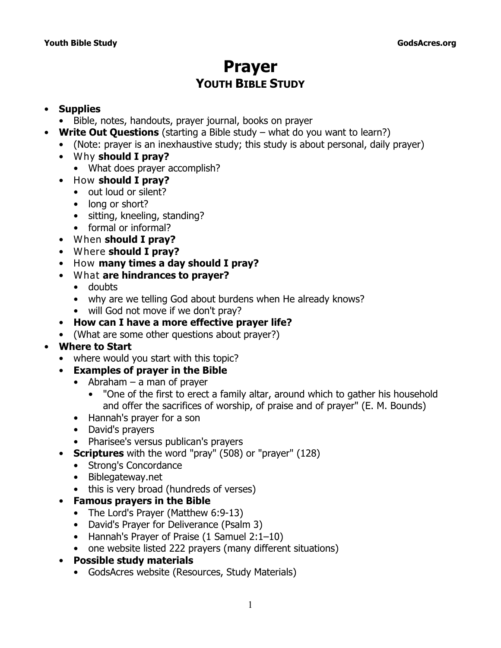# **Prayer YOUTH BIBLE STUDY**

### • **Supplies**

- Bible, notes, handouts, prayer journal, books on prayer
- **Write Out Questions** (starting a Bible study what do you want to learn?)
	- (Note: prayer is an inexhaustive study; this study is about personal, daily prayer)
	- *Why* **should I pray?**
		- What does prayer accomplish?
	- *How* **should I pray?**
		- out loud or silent?
		- long or short?
		- sitting, kneeling, standing?
		- formal or informal?
	- *When* **should I pray?**
	- *Where* **should I pray?**
	- *How* **many times a day should I pray?**
	- *What* **are hindrances to prayer?**
		- doubts
		- why are we telling God about burdens when He already knows?
		- will God not move if we don't pray?
	- **How can I have a more effective prayer life?**
	- (What are some other questions about prayer?)

### • **Where to Start**

- where would you start with this topic?
- **Examples of prayer in the Bible**
	- Abraham a man of prayer
		- "One of the first to erect a family altar, around which to gather his household and offer the sacrifices of worship, of praise and of prayer" (E. M. Bounds)
	- Hannah's prayer for a son
	- David's prayers
	- Pharisee's versus publican's prayers
- **Scriptures** with the word "pray" (508) or "prayer" (128)
	- Strong's Concordance
	- Biblegateway.net
	- this is very broad (hundreds of verses)
- **Famous prayers in the Bible**
	- The Lord's Prayer (Matthew 6:9-13)
	- David's Prayer for Deliverance (Psalm 3)
	- Hannah's Prayer of Praise (1 Samuel 2:1–10)
	- one website listed 222 prayers (many different situations)
- **Possible study materials**
	- GodsAcres website (Resources, Study Materials)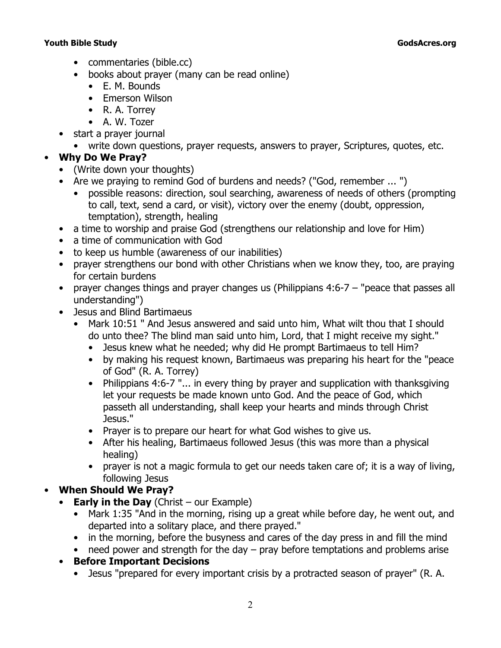- commentaries (bible.cc)
- books about prayer (many can be read online)
	- E. M. Bounds
	- Emerson Wilson
	- R. A. Torrey
	- A. W. Tozer
- start a prayer journal
	- write down questions, prayer requests, answers to prayer, Scriptures, quotes, etc.

### • **Why Do We Pray?**

- (Write down your thoughts)
- Are we praying to remind God of burdens and needs? ("God, remember ... ")
	- possible reasons: direction, soul searching, awareness of needs of others (prompting to call, text, send a card, or visit), victory over the enemy (doubt, oppression, temptation), strength, healing
- a time to worship and praise God (strengthens our relationship and love for Him)
- a time of communication with God
- to keep us humble (awareness of our inabilities)
- prayer strengthens our bond with other Christians when we know they, too, are praying for certain burdens
- prayer changes things and prayer changes us (Philippians 4:6-7 "peace that passes all understanding")
- Jesus and Blind Bartimaeus
	- *Mark 10:51 " And Jesus answered and said unto him, What wilt thou that I should do unto thee? The blind man said unto him, Lord, that I might receive my sight."*
		- Jesus knew what he needed; why did He prompt Bartimaeus to tell Him?
		- by making his request known, Bartimaeus was preparing his heart for the "peace of God" (R. A. Torrey)
		- *Philippians 4:6-7 "... in every thing by prayer and supplication with thanksgiving let your requests be made known unto God. And the peace of God, which passeth all understanding, shall keep your hearts and minds through Christ Jesus."*
		- Prayer is to prepare our heart for what God wishes to give us.
		- After his healing, Bartimaeus followed Jesus (this was more than a physical healing)
		- prayer is not a magic formula to get our needs taken care of; it is a way of living, following Jesus

## • **When Should We Pray?**

- **Early in the Day** (Christ our Example)
	- *Mark 1:35 "And in the morning, rising up a great while before day, he went out, and departed into a solitary place, and there prayed."*
	- in the morning, before the busyness and cares of the day press in and fill the mind
	- need power and strength for the day pray before temptations and problems arise

### • **Before Important Decisions**

• Jesus "prepared for every important crisis by a protracted season of prayer" (R. A.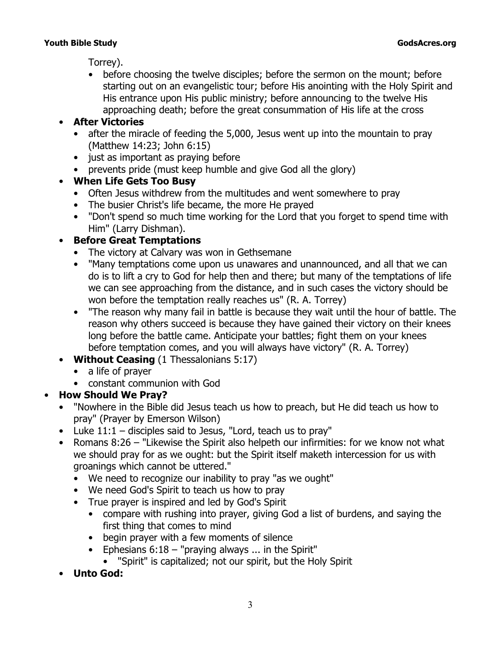Torrey).

• before choosing the twelve disciples; before the sermon on the mount; before starting out on an evangelistic tour; before His anointing with the Holy Spirit and His entrance upon His public ministry; before announcing to the twelve His approaching death; before the great consummation of His life at the cross

## • **After Victories**

- after the miracle of feeding the 5,000, Jesus went up into the mountain to pray (Matthew 14:23; John 6:15)
- just as important as praying before
- prevents pride (must keep humble and give God all the glory)

## • **When Life Gets Too Busy**

- Often Jesus withdrew from the multitudes and went somewhere to pray
- The busier Christ's life became, the more He prayed
- "Don't spend so much time *working* for the Lord that you forget to spend *time* with Him" (Larry Dishman).

## • **Before Great Temptations**

- The victory at Calvary was won in Gethsemane
- "Many temptations come upon us unawares and unannounced, and all that we can do is to lift a cry to God for help then and there; but many of the temptations of life we can see approaching from the distance, and in such cases the victory should be won before the temptation really reaches us" (R. A. Torrey)
- "The reason why many fail in battle is because they wait until the hour of battle. The reason why others succeed is because they have gained their victory on their knees long before the battle came. Anticipate your battles; fight them on your knees before temptation comes, and you will always have victory" (R. A. Torrey)
- **Without Ceasing** (1 Thessalonians 5:17)
	- a life of prayer
	- constant communion with God

## • **How Should We Pray?**

- "Nowhere in the Bible did Jesus teach us how to *preach*, but He did teach us how to *pray*" (*Prayer* by Emerson Wilson)
- Luke 11:1 disciples said to Jesus, "Lord, teach us to pray"
- *Romans 8:26 "Likewise the Spirit also helpeth our infirmities: for we know not what we should pray for as we ought: but the Spirit itself maketh intercession for us with groanings which cannot be uttered."*
	- We need to recognize our inability to pray "as we ought"
	- We need God's Spirit to teach us how to pray
	- True prayer is inspired and led by God's Spirit
		- compare with rushing into prayer, giving God a list of burdens, and saying the first thing that comes to mind
		- begin prayer with a few moments of silence
		- *Ephesians 6:18 "praying always ... in the Spirit"*
			- "Spirit" is capitalized; not our spirit, but the Holy Spirit
- **Unto God:**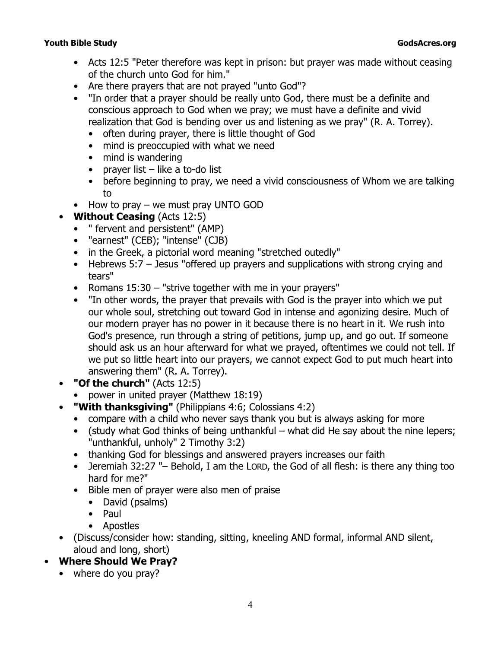- *Acts 12:5 "Peter therefore was kept in prison: but prayer was made without ceasing of the church unto God for him."*
- Are there prayers that are not prayed "unto God"?
- "In order that a prayer should be really unto God, there must be a definite and conscious approach to God when we pray; we must have a definite and vivid realization that God is bending over us and listening as we pray" (R. A. Torrey).
	- often during prayer, there is little thought of God
	- mind is preoccupied with what we need
	- mind is wandering
	- prayer list  $-$  like a to-do list
	- before beginning to pray, we need a vivid consciousness of Whom we are talking to
- How to pray we must pray UNTO GOD
- **Without Ceasing (Acts 12:5)** 
	- " fervent and persistent" (AMP)
	- "earnest" (CEB); "intense" (CJB)
	- in the Greek, a pictorial word meaning "stretched outedly"
	- *Hebrews 5:7* Jesus *"offered up prayers and supplications with strong crying and tears"*
	- *Romans 15:30 "strive together with me in your prayers"*
	- "In other words, the prayer that prevails with God is the prayer into which we put our whole soul, stretching out toward God in intense and agonizing desire. Much of our modern prayer has no power in it because there is no heart in it. We rush into God's presence, run through a string of petitions, jump up, and go out. If someone should ask us an hour afterward for what we prayed, oftentimes we could not tell. If we put so little heart into our prayers, we cannot expect God to put much heart into answering them" (R. A. Torrey).
- **"Of the church"** (Acts 12:5)
	- power in united prayer (Matthew 18:19)
- **"With thanksgiving"** (Philippians 4:6; Colossians 4:2)
	- compare with a child who never says thank you but is always asking for more
	- (study what God thinks of being unthankful what did He say about the nine lepers; "unthankful, unholy" 2 Timothy 3:2)
	- thanking God for blessings and answered prayers increases our faith
	- *Jeremiah 32:27 "– Behold, I am the L*ORD*, the God of all flesh: is there any thing too hard for me?"*
	- Bible men of prayer were also men of praise
		- David (psalms)
		- Paul
		- Apostles
- (Discuss/consider how: standing, sitting, kneeling AND formal, informal AND silent, aloud and long, short)
- **Where Should We Pray?**
	- where do you pray?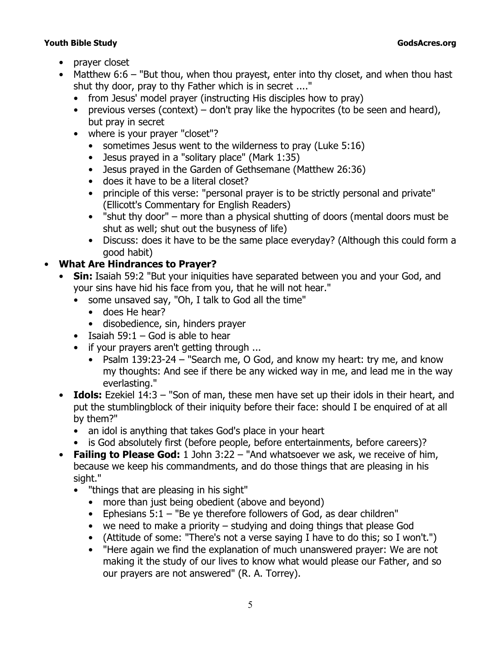- prayer closet
- *Matthew 6:6 "But thou, when thou prayest, enter into thy closet, and when thou hast shut thy door, pray to thy Father which is in secret ...."*
	- from Jesus' model prayer (instructing His disciples how to pray)
	- previous verses (context) don't pray like the hypocrites (to be seen and heard), but pray in secret
	- where is your prayer "closet"?
		- sometimes Jesus went to the wilderness to pray (Luke 5:16)
		- Jesus prayed in a "solitary place" (Mark 1:35)
		- Jesus prayed in the Garden of Gethsemane (Matthew 26:36)
		- does it have to be a literal closet?
		- principle of this verse: "personal prayer is to be strictly personal and private" (*Ellicott's Commentary for English Readers*)
		- *"shut thy door"*  more than a physical shutting of doors (mental doors must be shut as well; shut out the busyness of life)
		- Discuss: does it have to be the same place everyday? (Although this could form a good habit)

## • **What Are Hindrances to Prayer?**

- **Sin:** *Isaiah 59:2 "But your iniquities have separated between you and your God, and your sins have hid his face from you, that he will not hear."*
	- some unsaved say, "Oh, I talk to God all the time"
		- does He hear?
		- disobedience, sin, hinders prayer
	- Isaiah 59:1 God is able to hear
	- if your prayers aren't getting through ...
		- *Psalm 139:23-24 "Search me, O God, and know my heart: try me, and know my thoughts: And see if there be any wicked way in me, and lead me in the way everlasting."*
- **Idols:** *Ezekiel 14:3 "Son of man, these men have set up their idols in their heart, and put the stumblingblock of their iniquity before their face: should I be enquired of at all by them?"*
	- an idol is anything that takes God's place in your heart
	- is God absolutely first (before people, before entertainments, before careers)?
- **Failing to Please God:** *1 John 3:22 "And whatsoever we ask, we receive of him, because we keep his commandments, and do those things that are pleasing in his sight."*
	- *"things that are pleasing in his sight"*
		- more than just being obedient (above and beyond)
		- *Ephesians 5:1 "Be ye therefore followers of God, as dear children"*
		- we need to make a priority studying and doing things that please God
		- (Attitude of some: "There's not a verse saying I have to do this; so I won't.")
		- "Here again we find the explanation of much unanswered prayer: We are not making it the study of our lives to know what would please our Father, and so our prayers are not answered" (R. A. Torrey).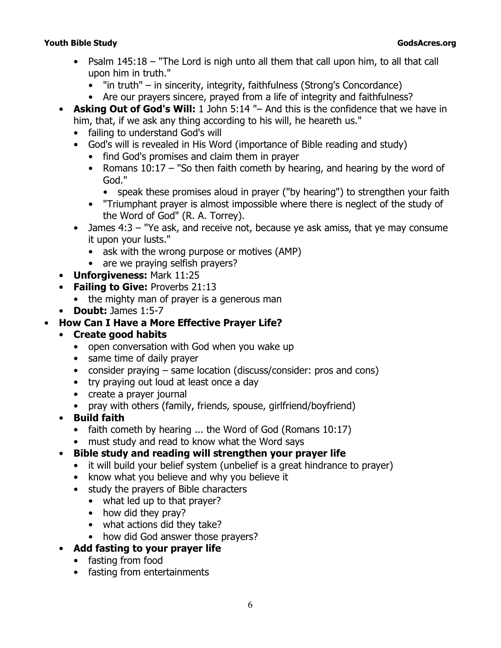- *Psalm 145:18 "The Lord is nigh unto all them that call upon him, to all that call upon him in truth."*
	- *"in truth"*  in sincerity, integrity, faithfulness (*Strong's Concordance*)
	- Are our prayers sincere, prayed from a life of integrity and faithfulness?
- **Asking Out of God's Will:** *1 John 5:14 "– And this is the confidence that we have in him, that, if we ask any thing according to his will, he heareth us."*
	- failing to understand God's will
	- God's will is revealed in His Word (importance of Bible reading and study)
		- find God's promises and claim them in prayer
		- *Romans 10:17 "So then faith cometh by hearing, and hearing by the word of God."*
			- speak these promises aloud in prayer ("by hearing") to strengthen your faith
		- "Triumphant prayer is almost impossible where there is neglect of the study of the Word of God" (R. A. Torrey).
	- *James 4:3 "Ye ask, and receive not, because ye ask amiss, that ye may consume it upon your lusts."*
		- ask with the wrong purpose or motives (AMP)
		- are we praying selfish prayers?
- **Unforgiveness:** Mark 11:25
- **Failing to Give:** Proverbs 21:13
	- the mighty man of prayer is a generous man
- **Doubt:** James 1:5-7

### • **How Can I Have a More Effective Prayer Life?**

### • **Create good habits**

- open conversation with God when you wake up
- same time of daily prayer
- consider praying same location (discuss/consider: pros and cons)
- try praying out loud at least once a day
- create a prayer journal
- pray with others (family, friends, spouse, girlfriend/boyfriend)
- **Build faith**
	- faith cometh by hearing ... the Word of God (Romans 10:17)
	- must study and read to know what the Word says
- **Bible study and reading will strengthen your prayer life**
	- it will build your belief system (unbelief is a great hindrance to prayer)
	- know what you believe and why you believe it
	- study the prayers of Bible characters
		- what led up to that prayer?
		- how did they pray?
		- what actions did they take?
		- how did God answer those prayers?
- **Add fasting to your prayer life** 
	- fasting from food
	- fasting from entertainments